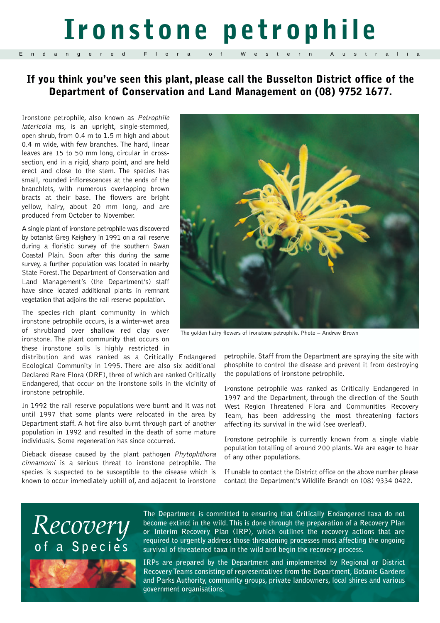# **Ironstone petrophile**

### **If you think you've seen this plant, please call the Busselton District office of the Department of Conservation and Land Management on (08) 9752 1677.**

Ironstone petrophile, also known as Petrophile latericola ms, is an upright, single-stemmed, open shrub, from 0.4 m to 1.5 m high and about 0.4 m wide, with few branches. The hard, linear leaves are 15 to 50 mm long, circular in crosssection, end in a rigid, sharp point, and are held erect and close to the stem. The species has small, rounded inflorescences at the ends of the branchlets, with numerous overlapping brown bracts at their base. The flowers are bright yellow, hairy, about 20 mm long, and are produced from October to November.

Endangered F

A single plant of ironstone petrophile was discovered by botanist Greg Keighery in 1991 on a rail reserve during a floristic survey of the southern Swan Coastal Plain. Soon after this during the same survey, a further population was located in nearby State Forest.The Department of Conservation and Land Management's (the Department's) staff have since located additional plants in remnant vegetation that adjoins the rail reserve population.

The species-rich plant community in which ironstone petrophile occurs, is a winter-wet area of shrubland over shallow red clay over ironstone. The plant community that occurs on these ironstone soils is highly restricted in

distribution and was ranked as a Critically Endangered Ecological Community in 1995. There are also six additional Declared Rare Flora (DRF), three of which are ranked Critically Endangered, that occur on the ironstone soils in the vicinity of ironstone petrophile.

In 1992 the rail reserve populations were burnt and it was not until 1997 that some plants were relocated in the area by Department staff. A hot fire also burnt through part of another population in 1992 and resulted in the death of some mature individuals. Some regeneration has since occurred.

Dieback disease caused by the plant pathogen Phytophthora cinnamomi is a serious threat to ironstone petrophile. The species is suspected to be susceptible to the disease which is known to occur immediately uphill of, and adjacent to ironstone



The golden hairy flowers of ironstone petrophile. Photo – Andrew Brown

petrophile. Staff from the Department are spraying the site with phosphite to control the disease and prevent it from destroying the populations of ironstone petrophile.

Ironstone petrophile was ranked as Critically Endangered in 1997 and the Department, through the direction of the South West Region Threatened Flora and Communities Recovery Team, has been addressing the most threatening factors affecting its survival in the wild (see overleaf).

Ironstone petrophile is currently known from a single viable population totalling of around 200 plants. We are eager to hear of any other populations.

If unable to contact the District office on the above number please contact the Department's Wildlife Branch on (08) 9334 0422.

### *Recovery*  **of a Species**



**The Department is committed to ensuring that Critically Endangered taxa do not become extinct in the wild. This is done through the preparation of a Recovery Plan or Interim Recovery Plan (IRP), which outlines the recovery actions that are required to urgently address those threatening processes most affecting the ongoing survival of threatened taxa in the wild and begin the recovery process.**

**IRPs are prepared by the Department and implemented by Regional or District Recovery Teams consisting of representatives from the Department, Botanic Gardens and Parks Authority, community groups, private landowners, local shires and various government organisations.**